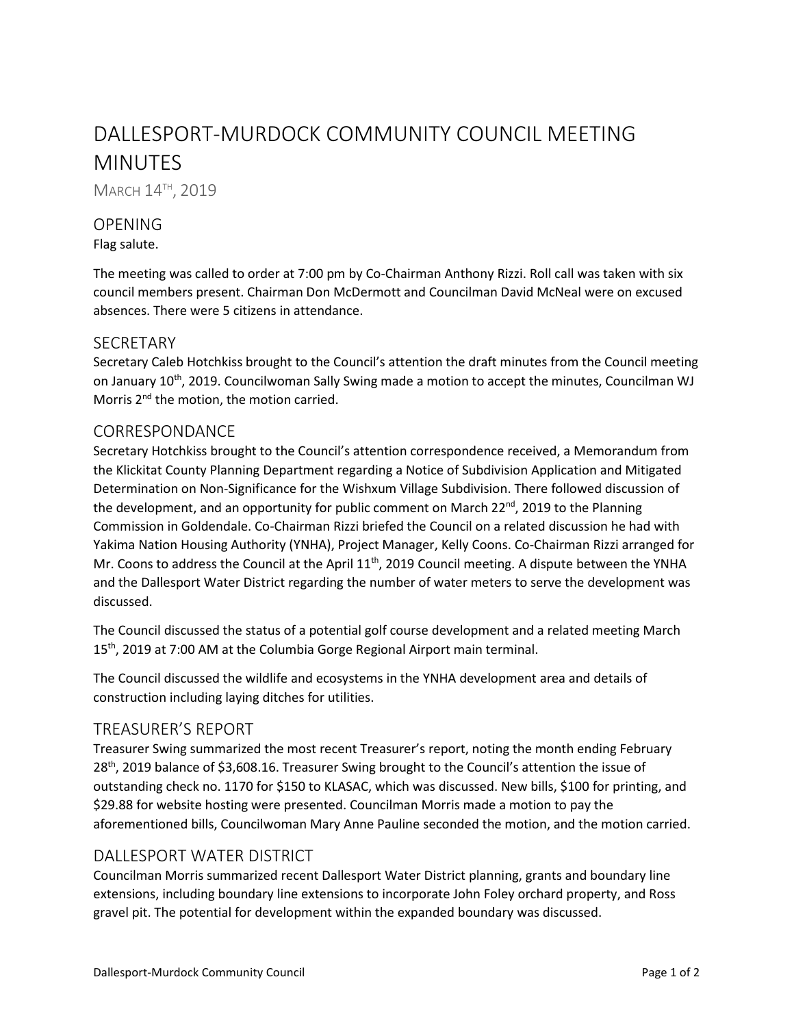# DALLESPORT-MURDOCK COMMUNITY COUNCIL MEETING MINUTES

MARCH 14TH, 2019

# **OPENING**

## Flag salute.

The meeting was called to order at 7:00 pm by Co-Chairman Anthony Rizzi. Roll call was taken with six council members present. Chairman Don McDermott and Councilman David McNeal were on excused absences. There were 5 citizens in attendance.

## **SECRETARY**

Secretary Caleb Hotchkiss brought to the Council's attention the draft minutes from the Council meeting on January 10<sup>th</sup>, 2019. Councilwoman Sally Swing made a motion to accept the minutes, Councilman WJ Morris 2<sup>nd</sup> the motion, the motion carried.

## **CORRESPONDANCE**

Secretary Hotchkiss brought to the Council's attention correspondence received, a Memorandum from the Klickitat County Planning Department regarding a Notice of Subdivision Application and Mitigated Determination on Non-Significance for the Wishxum Village Subdivision. There followed discussion of the development, and an opportunity for public comment on March 22<sup>nd</sup>, 2019 to the Planning Commission in Goldendale. Co-Chairman Rizzi briefed the Council on a related discussion he had with Yakima Nation Housing Authority (YNHA), Project Manager, Kelly Coons. Co-Chairman Rizzi arranged for Mr. Coons to address the Council at the April 11<sup>th</sup>, 2019 Council meeting. A dispute between the YNHA and the Dallesport Water District regarding the number of water meters to serve the development was discussed.

The Council discussed the status of a potential golf course development and a related meeting March 15<sup>th</sup>, 2019 at 7:00 AM at the Columbia Gorge Regional Airport main terminal.

The Council discussed the wildlife and ecosystems in the YNHA development area and details of construction including laying ditches for utilities.

## TREASURER'S REPORT

Treasurer Swing summarized the most recent Treasurer's report, noting the month ending February 28th, 2019 balance of \$3,608.16. Treasurer Swing brought to the Council's attention the issue of outstanding check no. 1170 for \$150 to KLASAC, which was discussed. New bills, \$100 for printing, and \$29.88 for website hosting were presented. Councilman Morris made a motion to pay the aforementioned bills, Councilwoman Mary Anne Pauline seconded the motion, and the motion carried.

## DALLESPORT WATER DISTRICT

Councilman Morris summarized recent Dallesport Water District planning, grants and boundary line extensions, including boundary line extensions to incorporate John Foley orchard property, and Ross gravel pit. The potential for development within the expanded boundary was discussed.